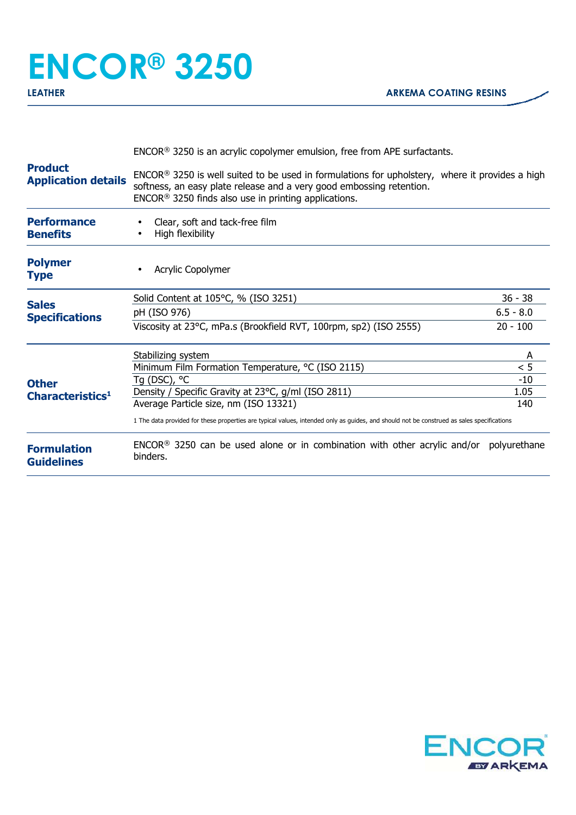## **ENCOR® 3250**

| <b>Product</b><br><b>Application details</b>                                          | $ENCOR®$ 3250 is an acrylic copolymer emulsion, free from APE surfactants.                                                                                                                                                                   |             |  |
|---------------------------------------------------------------------------------------|----------------------------------------------------------------------------------------------------------------------------------------------------------------------------------------------------------------------------------------------|-------------|--|
|                                                                                       | $ENCOR®$ 3250 is well suited to be used in formulations for upholstery, where it provides a high<br>softness, an easy plate release and a very good embossing retention.<br>ENCOR <sup>®</sup> 3250 finds also use in printing applications. |             |  |
| <b>Performance</b><br><b>Benefits</b>                                                 | Clear, soft and tack-free film<br>High flexibility                                                                                                                                                                                           |             |  |
| <b>Polymer</b><br><b>Type</b>                                                         | Acrylic Copolymer                                                                                                                                                                                                                            |             |  |
|                                                                                       | Solid Content at 105°C, % (ISO 3251)                                                                                                                                                                                                         | $36 - 38$   |  |
| <b>Sales</b><br><b>Specifications</b><br><b>Other</b><br>Characteristics <sup>1</sup> | pH (ISO 976)                                                                                                                                                                                                                                 | $6.5 - 8.0$ |  |
|                                                                                       | Viscosity at 23°C, mPa.s (Brookfield RVT, 100rpm, sp2) (ISO 2555)                                                                                                                                                                            | $20 - 100$  |  |
|                                                                                       | Stabilizing system                                                                                                                                                                                                                           | A           |  |
|                                                                                       | Minimum Film Formation Temperature, °C (ISO 2115)                                                                                                                                                                                            | < 5         |  |
|                                                                                       | Tg (DSC), °C                                                                                                                                                                                                                                 | $-10$       |  |
|                                                                                       | Density / Specific Gravity at 23°C, g/ml (ISO 2811)<br>Average Particle size, nm (ISO 13321)                                                                                                                                                 | 1.05<br>140 |  |
|                                                                                       | 1 The data provided for these properties are typical values, intended only as guides, and should not be construed as sales specifications                                                                                                    |             |  |
| <b>Formulation</b><br><b>Guidelines</b>                                               | ENCOR <sup>®</sup> 3250 can be used alone or in combination with other acrylic and/or polyurethane<br>binders.                                                                                                                               |             |  |